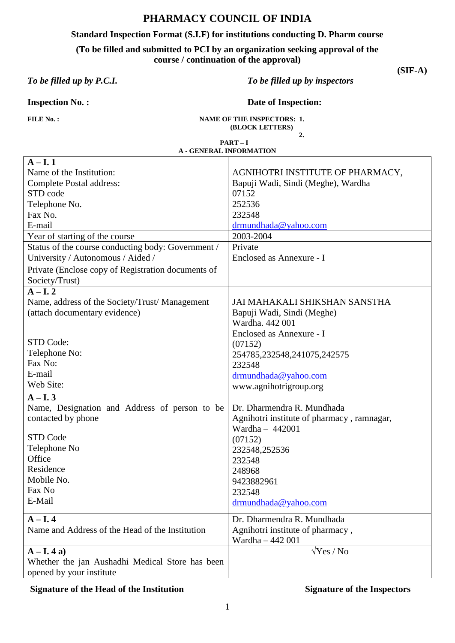### **PHARMACY COUNCIL OF INDIA**

#### **Standard Inspection Format (S.I.F) for institutions conducting D. Pharm course**

**(To be filled and submitted to PCI by an organization seeking approval of the** 

**course / continuation of the approval)**

*To be filled up by P.C.I. To be filled up by inspectors*

**(SIF-A)**

**Inspection No. : Date of Inspection:** 

FILE No.: NAME OF THE INSPECTORS: 1.  **(BLOCK LETTERS)**

 **2.**

**PART – I A - GENERAL INFORMATION**

| $A - I$ . 1                                        |                                            |
|----------------------------------------------------|--------------------------------------------|
| Name of the Institution:                           | AGNIHOTRI INSTITUTE OF PHARMACY,           |
| Complete Postal address:                           | Bapuji Wadi, Sindi (Meghe), Wardha         |
| STD code                                           | 07152                                      |
| Telephone No.                                      | 252536                                     |
| Fax No.                                            | 232548                                     |
| E-mail                                             | drmundhada@yahoo.com                       |
| Year of starting of the course                     | 2003-2004                                  |
| Status of the course conducting body: Government / | Private                                    |
| University / Autonomous / Aided /                  | Enclosed as Annexure - I                   |
| Private (Enclose copy of Registration documents of |                                            |
| Society/Trust)                                     |                                            |
| $A-I.2$                                            |                                            |
| Name, address of the Society/Trust/Management      | JAI MAHAKALI SHIKSHAN SANSTHA              |
| (attach documentary evidence)                      | Bapuji Wadi, Sindi (Meghe)                 |
|                                                    | Wardha, 442 001                            |
|                                                    | Enclosed as Annexure - I                   |
| STD Code:                                          | (07152)                                    |
| Telephone No:                                      | 254785,232548,241075,242575                |
| Fax No:                                            | 232548                                     |
| E-mail                                             | drmundhada@yahoo.com                       |
| Web Site:                                          | www.agnihotrigroup.org                     |
| $A - I$ . 3                                        |                                            |
| Name, Designation and Address of person to be      | Dr. Dharmendra R. Mundhada                 |
| contacted by phone                                 | Agnihotri institute of pharmacy, ramnagar, |
|                                                    | Wardha $-442001$                           |
| <b>STD Code</b>                                    | (07152)                                    |
| Telephone No                                       | 232548,252536                              |
| Office                                             | 232548                                     |
| Residence                                          | 248968                                     |
| Mobile No.                                         | 9423882961                                 |
| Fax No                                             | 232548                                     |
| E-Mail                                             | drmundhada@yahoo.com                       |
| $A - I$ . 4                                        | Dr. Dharmendra R. Mundhada                 |
| Name and Address of the Head of the Institution    | Agnihotri institute of pharmacy,           |
|                                                    | Wardha - 442 001                           |
| $A - I$ . 4 a)                                     | $\sqrt{Yes / No}$                          |
| Whether the jan Aushadhi Medical Store has been    |                                            |
| opened by your institute                           |                                            |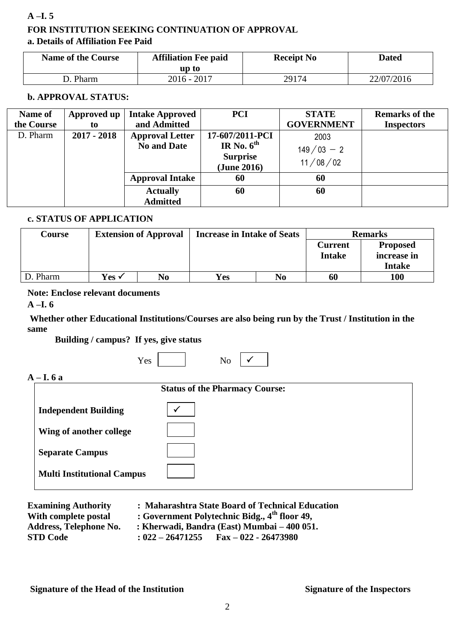#### **A –I. 5**

## **FOR INSTITUTION SEEKING CONTINUATION OF APPROVAL a. Details of Affiliation Fee Paid**

| <b>Name of the Course</b> | <b>Affiliation Fee paid</b><br>up to | <b>Receipt No</b> | Dated      |
|---------------------------|--------------------------------------|-------------------|------------|
| D. Pharm                  | $2016 - 2017$                        | 29174             | 22/07/2016 |

#### **b. APPROVAL STATUS:**

| Name of    | Approved up   | <b>Intake Approved</b> | <b>PCI</b>      | <b>STATE</b>      | <b>Remarks of the</b> |
|------------|---------------|------------------------|-----------------|-------------------|-----------------------|
| the Course | to            | and Admitted           |                 | <b>GOVERNMENT</b> | <b>Inspectors</b>     |
| D. Pharm   | $2017 - 2018$ | <b>Approval Letter</b> | 17-607/2011-PCI | 2003              |                       |
|            |               | <b>No and Date</b>     | IR No. $6^{th}$ | $149/03 - 2$      |                       |
|            |               |                        | <b>Surprise</b> | 11/08/02          |                       |
|            |               |                        | (June 2016)     |                   |                       |
|            |               | <b>Approval Intake</b> | 60              | 60                |                       |
|            |               | <b>Actually</b>        | 60              | 60                |                       |
|            |               | <b>Admitted</b>        |                 |                   |                       |

#### **c. STATUS OF APPLICATION**

| Course   | <b>Extension of Approval</b> |    | <b>Increase in Intake of Seats</b> |                | <b>Remarks</b>           |                                                 |
|----------|------------------------------|----|------------------------------------|----------------|--------------------------|-------------------------------------------------|
|          |                              |    |                                    |                | Current<br><b>Intake</b> | <b>Proposed</b><br>increase in<br><b>Intake</b> |
| D. Pharm | Yes √                        | No | <b>Yes</b>                         | N <sub>0</sub> | 60                       | 100                                             |

#### **Note: Enclose relevant documents**

**A –I. 6**

 $A -$ 

### **Whether other Educational Institutions/Courses are also being run by the Trust / Institution in the same**

**Building / campus? If yes, give status**

|                                   | No<br>Yes                             |  |
|-----------------------------------|---------------------------------------|--|
| - I. 6 a                          |                                       |  |
|                                   | <b>Status of the Pharmacy Course:</b> |  |
| <b>Independent Building</b>       |                                       |  |
| Wing of another college           |                                       |  |
| <b>Separate Campus</b>            |                                       |  |
| <b>Multi Institutional Campus</b> |                                       |  |

**Multi Institutional Campus**

| <b>Examining Authority</b>                       | : Maharashtra State Board of Technical Education                                                   |
|--------------------------------------------------|----------------------------------------------------------------------------------------------------|
| With complete postal                             | : Government Polytechnic Bidg., 4 <sup>th</sup> floor 49,                                          |
| <b>Address, Telephone No.</b><br><b>STD Code</b> | : Kherwadi, Bandra (East) Mumbai – 400 051.<br>$\text{Fax} - 022 - 26473980$<br>$: 022 - 26471255$ |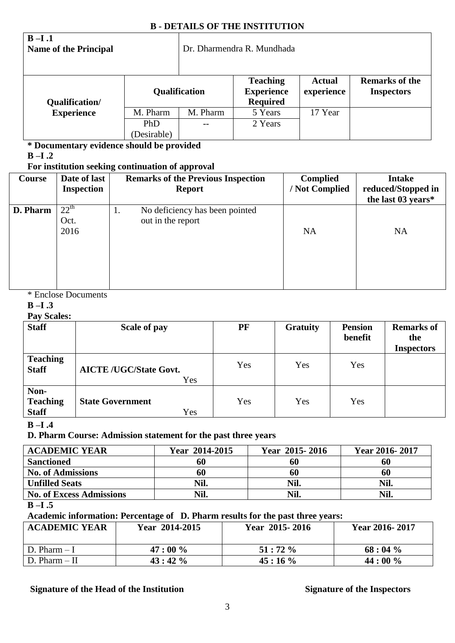#### **B - DETAILS OF THE INSTITUTION**

| $B-I.1$<br><b>Name of the Principal</b> |             | Dr. Dharmendra R. Mundhada |                                                         |                             |                                            |
|-----------------------------------------|-------------|----------------------------|---------------------------------------------------------|-----------------------------|--------------------------------------------|
| Qualification/                          |             | Qualification              | <b>Teaching</b><br><b>Experience</b><br><b>Required</b> | <b>Actual</b><br>experience | <b>Remarks of the</b><br><b>Inspectors</b> |
| <b>Experience</b>                       | M. Pharm    | M. Pharm                   | 5 Years                                                 | 17 Year                     |                                            |
|                                         | <b>PhD</b>  |                            | 2 Years                                                 |                             |                                            |
|                                         | (Desirable) |                            |                                                         |                             |                                            |

**\* Documentary evidence should be provided**

**B –I .2**

#### **For institution seeking continuation of approval**

| <b>Course</b> | Date of last<br><b>Inspection</b> | <b>Remarks of the Previous Inspection</b><br><b>Report</b> | <b>Complied</b><br>/ Not Complied | <b>Intake</b><br>reduced/Stopped in<br>the last 03 years* |
|---------------|-----------------------------------|------------------------------------------------------------|-----------------------------------|-----------------------------------------------------------|
| D. Pharm      | $22^{th}$<br>Oct.<br>2016         | No deficiency has been pointed<br>1.<br>out in the report  | <b>NA</b>                         | <b>NA</b>                                                 |

### \* Enclose Documents

**B –I .3**

#### **Pay Scales:**

| <b>Staff</b>                            | Scale of pay                         | PF  | <b>Gratuity</b> | <b>Pension</b><br>benefit | <b>Remarks of</b><br>the<br><b>Inspectors</b> |
|-----------------------------------------|--------------------------------------|-----|-----------------|---------------------------|-----------------------------------------------|
| <b>Teaching</b><br><b>Staff</b>         | <b>AICTE /UGC/State Govt.</b><br>Yes | Yes | Yes             | Yes                       |                                               |
| Non-<br><b>Teaching</b><br><b>Staff</b> | <b>State Government</b><br>Yes       | Yes | Yes             | Yes                       |                                               |

**B –I .4**

**D. Pharm Course: Admission statement for the past three years**

| <b>ACADEMIC YEAR</b>            | <b>Year 2014-2015</b> | Year 2015-2016 | Year 2016-2017 |
|---------------------------------|-----------------------|----------------|----------------|
| <b>Sanctioned</b>               | 60                    | 60             | 60             |
| <b>No. of Admissions</b>        | 60                    | 60             | 60             |
| <b>Unfilled Seats</b>           | Nil.                  | Nil.           | Nil.           |
| <b>No. of Excess Admissions</b> | Nil.                  | Nil.           | Nil.           |

#### **B –I .5**

**Academic information: Percentage of D. Pharm results for the past three years:**

| <b>ACADEMIC YEAR</b> | Year 2014-2015 | Year 2015-2016 | Year 2016-2017 |
|----------------------|----------------|----------------|----------------|
| D. Pharm – I         | $47:00\%$      | $51:72\%$      | $68:04\%$      |
| D. Pharm – II        | $43:42\%$      | $45:16\%$      | 44:00%         |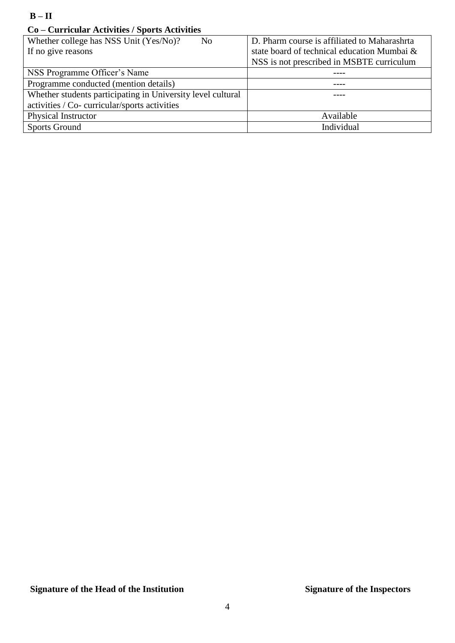#### **Co – Curricular Activities / Sports Activities**

| Whether college has NSS Unit (Yes/No)?<br>N <sub>o</sub>    | D. Pharm course is affiliated to Maharashrta |
|-------------------------------------------------------------|----------------------------------------------|
| If no give reasons                                          | state board of technical education Mumbai &  |
|                                                             | NSS is not prescribed in MSBTE curriculum    |
| NSS Programme Officer's Name                                |                                              |
| Programme conducted (mention details)                       |                                              |
| Whether students participating in University level cultural |                                              |
| activities / Co- curricular/sports activities               |                                              |
| <b>Physical Instructor</b>                                  | Available                                    |
| <b>Sports Ground</b>                                        | Individual                                   |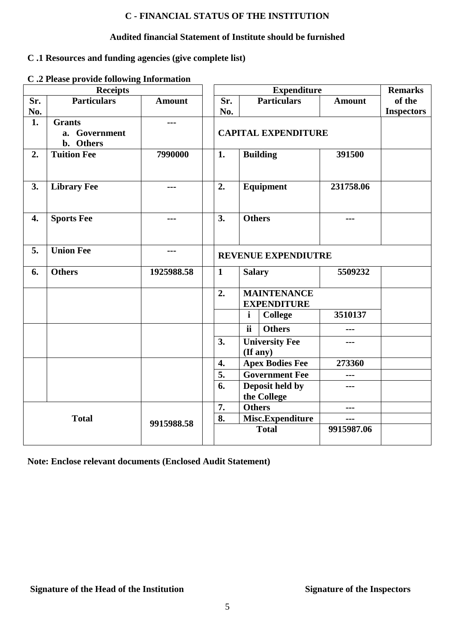### **C - FINANCIAL STATUS OF THE INSTITUTION**

#### **Audited financial Statement of Institute should be furnished**

### **C .1 Resources and funding agencies (give complete list)**

#### **C .2 Please provide following Information**

|     | <b>Receipts</b>    |               |                                    |                        | <b>Expenditure</b>    |                   | <b>Remarks</b> |
|-----|--------------------|---------------|------------------------------------|------------------------|-----------------------|-------------------|----------------|
| Sr. | <b>Particulars</b> | <b>Amount</b> | Sr.                                |                        | <b>Particulars</b>    | <b>Amount</b>     | of the         |
| No. |                    |               | No.                                |                        |                       | <b>Inspectors</b> |                |
| 1.  | <b>Grants</b>      | $- - -$       |                                    |                        |                       |                   |                |
|     | a. Government      |               | <b>CAPITAL EXPENDITURE</b>         |                        |                       |                   |                |
|     | b. Others          |               |                                    |                        |                       |                   |                |
| 2.  | <b>Tuition Fee</b> | 7990000       | 1.                                 |                        | <b>Building</b>       | 391500            |                |
|     |                    |               |                                    |                        |                       |                   |                |
|     |                    |               |                                    |                        |                       |                   |                |
| 3.  | <b>Library Fee</b> | ---           | 2.                                 |                        | <b>Equipment</b>      | 231758.06         |                |
|     |                    |               |                                    |                        |                       |                   |                |
|     |                    |               |                                    |                        |                       |                   |                |
| 4.  | <b>Sports Fee</b>  | ---           | 3.                                 | <b>Others</b>          |                       | ---               |                |
|     |                    |               |                                    |                        |                       |                   |                |
|     |                    |               |                                    |                        |                       |                   |                |
| 5.  | <b>Union Fee</b>   | ---           | <b>REVENUE EXPENDIUTRE</b>         |                        |                       |                   |                |
|     |                    |               |                                    |                        |                       |                   |                |
| 6.  | <b>Others</b>      | 1925988.58    | $\mathbf{1}$                       | <b>Salary</b>          |                       | 5509232           |                |
|     |                    |               |                                    |                        |                       |                   |                |
|     |                    |               | 2.                                 |                        | <b>MAINTENANCE</b>    |                   |                |
|     |                    |               |                                    |                        | <b>EXPENDITURE</b>    |                   |                |
|     |                    |               |                                    | $\mathbf{i}$           | <b>College</b>        | 3510137           |                |
|     |                    |               |                                    | ii.                    | <b>Others</b>         | ---               |                |
|     |                    |               | 3.                                 |                        | <b>University Fee</b> |                   |                |
|     |                    |               |                                    |                        | (If any)              |                   |                |
|     |                    |               | 4.                                 | <b>Apex Bodies Fee</b> |                       | 273360            |                |
|     |                    |               | <b>Government Fee</b><br>5.<br>--- |                        |                       |                   |                |
|     |                    |               | Deposit held by<br>6.<br>---       |                        |                       |                   |                |
|     |                    |               | the College                        |                        |                       |                   |                |
|     |                    |               | 7.                                 | <b>Others</b>          |                       | ---               |                |
|     | <b>Total</b>       | 9915988.58    | 8.                                 |                        | Misc.Expenditure      | ---               |                |
|     |                    |               |                                    |                        | <b>Total</b>          | 9915987.06        |                |
|     |                    |               |                                    |                        |                       |                   |                |

**Note: Enclose relevant documents (Enclosed Audit Statement)**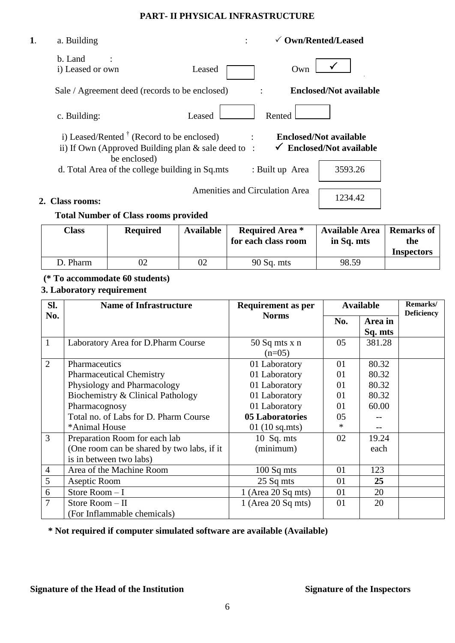#### **PART- II PHYSICAL INFRASTRUCTURE**

| 1. | a. Building                                                                                                                 | $\checkmark$ Own/Rented/Leased                                 |  |
|----|-----------------------------------------------------------------------------------------------------------------------------|----------------------------------------------------------------|--|
|    | b. Land<br>i) Leased or own                                                                                                 | Own<br>Leased                                                  |  |
|    | Sale / Agreement deed (records to be enclosed)                                                                              | <b>Enclosed/Not available</b>                                  |  |
|    | c. Building:                                                                                                                | Rented<br>Leased                                               |  |
|    | i) Leased/Rented $\dagger$ (Record to be enclosed)<br>ii) If Own (Approved Building plan $&$ sale deed to :<br>be enclosed) | <b>Enclosed/Not available</b><br><b>Enclosed/Not available</b> |  |
|    | d. Total Area of the college building in Sq.mts                                                                             | 3593.26<br>: Built up Area                                     |  |
|    |                                                                                                                             | <b>Amenities and Circulation Area</b>                          |  |
|    | <b>Class rooms:</b>                                                                                                         | 1234.42                                                        |  |

### **Total Number of Class rooms provided**

| <b>Class</b> | <b>Required</b> | <b>Available</b> | <b>Required Area</b> *<br>for each class room | <b>Available Area</b><br>in Sq. mts | <b>Remarks of</b><br>the<br><b>Inspectors</b> |
|--------------|-----------------|------------------|-----------------------------------------------|-------------------------------------|-----------------------------------------------|
| D. Pharm     |                 | 02               | $90$ Sq. mts                                  | 98.59                               |                                               |

### **(\* To accommodate 60 students)**

## **3. Laboratory requirement**

| SI.            | <b>Name of Infrastructure</b>              | <b>Requirement as per</b>       | <b>Available</b> |         | Remarks/<br><b>Deficiency</b> |
|----------------|--------------------------------------------|---------------------------------|------------------|---------|-------------------------------|
| No.            |                                            | <b>Norms</b>                    | No.              | Area in |                               |
|                |                                            |                                 |                  | Sq. mts |                               |
| $\mathbf{1}$   | Laboratory Area for D.Pharm Course         | $50$ Sq mts x n<br>$(n=05)$     | 05               | 381.28  |                               |
| $\overline{2}$ | Pharmaceutics                              | 01 Laboratory                   | 01               | 80.32   |                               |
|                | <b>Pharmaceutical Chemistry</b>            | 01 Laboratory                   | 01               | 80.32   |                               |
|                | Physiology and Pharmacology                | 01 Laboratory                   | 01               | 80.32   |                               |
|                | Biochemistry & Clinical Pathology          | 01 Laboratory                   | 01               | 80.32   |                               |
|                | Pharmacognosy                              | 01 Laboratory                   | 01               | 60.00   |                               |
|                | Total no. of Labs for D. Pharm Course      | 05 Laboratories                 | 05               |         |                               |
|                | *Animal House                              | $01(10 \text{ sq.} \text{mts})$ | $\ast$           |         |                               |
| $\overline{3}$ | Preparation Room for each lab              | 10 $Sq. mts$                    | 02               | 19.24   |                               |
|                | (One room can be shared by two labs, if it | (minimum)                       |                  | each    |                               |
|                | is in between two labs)                    |                                 |                  |         |                               |
| $\overline{4}$ | Area of the Machine Room                   | $100$ Sq mts                    | 01               | 123     |                               |
| 5              | Aseptic Room                               | 25 Sq mts                       | 01               | 25      |                               |
| 6              | Store Room-I                               | $1$ (Area 20 Sq mts)            | 01               | 20      |                               |
| $\overline{7}$ | Store Room $-$ II                          | 1 (Area 20 Sq mts)              | 01               | 20      |                               |
|                | (For Inflammable chemicals)                |                                 |                  |         |                               |

**\* Not required if computer simulated software are available (Available)**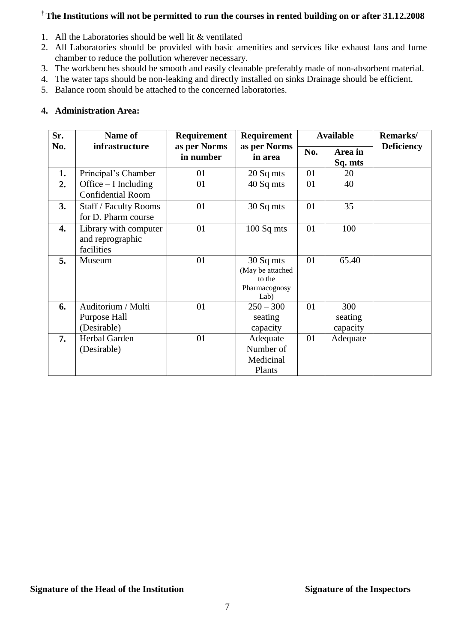#### **† The Institutions will not be permitted to run the courses in rented building on or after 31.12.2008**

- 1. All the Laboratories should be well lit & ventilated
- 2. All Laboratories should be provided with basic amenities and services like exhaust fans and fume chamber to reduce the pollution wherever necessary.
- 3. The workbenches should be smooth and easily cleanable preferably made of non-absorbent material.
- 4. The water taps should be non-leaking and directly installed on sinks Drainage should be efficient.
- 5. Balance room should be attached to the concerned laboratories.

#### **4. Administration Area:**

| Sr. | <b>Name of</b>                                          | <b>Requirement</b>        | <b>Requirement</b>                                               |     | <b>Available</b>           | <b>Remarks/</b>   |
|-----|---------------------------------------------------------|---------------------------|------------------------------------------------------------------|-----|----------------------------|-------------------|
| No. | infrastructure                                          | as per Norms<br>in number | as per Norms<br>in area                                          | No. | Area in<br>Sq. mts         | <b>Deficiency</b> |
| 1.  | Principal's Chamber                                     | 01                        | 20 Sq mts                                                        | 01  | 20                         |                   |
| 2.  | Office $-$ I Including<br><b>Confidential Room</b>      | 01                        | 40 Sq mts                                                        | 01  | 40                         |                   |
| 3.  | <b>Staff / Faculty Rooms</b><br>for D. Pharm course     | 01                        | 30 Sq mts                                                        | 01  | 35                         |                   |
| 4.  | Library with computer<br>and reprographic<br>facilities | 01                        | $100$ Sq mts                                                     | 01  | 100                        |                   |
| 5.  | Museum                                                  | 01                        | 30 Sq mts<br>(May be attached<br>to the<br>Pharmacognosy<br>Lab) | 01  | 65.40                      |                   |
| 6.  | Auditorium / Multi<br>Purpose Hall<br>(Desirable)       | 01                        | $250 - 300$<br>seating<br>capacity                               | 01  | 300<br>seating<br>capacity |                   |
| 7.  | Herbal Garden<br>(Desirable)                            | 01                        | Adequate<br>Number of<br>Medicinal<br>Plants                     | 01  | Adequate                   |                   |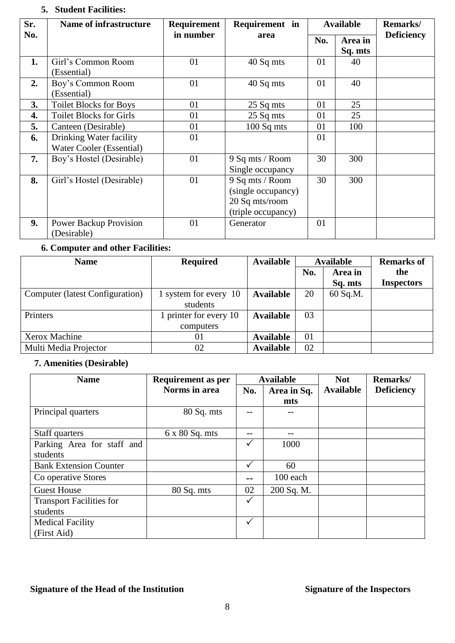# **5. Student Facilities:**

| Sr. | <b>Name of infrastructure</b>                       | <b>Requirement</b> | Requirement in                                                                | <b>Available</b> |                    | Remarks/          |
|-----|-----------------------------------------------------|--------------------|-------------------------------------------------------------------------------|------------------|--------------------|-------------------|
| No. |                                                     | in number          | area                                                                          | No.              | Area in<br>Sq. mts | <b>Deficiency</b> |
| 1.  | Girl's Common Room<br>(Essential)                   | 01                 | 40 Sq mts                                                                     | 01               | 40                 |                   |
| 2.  | Boy's Common Room<br>(Essential)                    | 01                 | 40 Sq mts                                                                     | 01               | 40                 |                   |
| 3.  | <b>Toilet Blocks for Boys</b>                       | 01                 | 25 Sq mts                                                                     | 01               | 25                 |                   |
| 4.  | <b>Toilet Blocks for Girls</b>                      | 01                 | 25 Sq mts                                                                     | 01               | 25                 |                   |
| 5.  | Canteen (Desirable)                                 | 01                 | $100$ Sq mts                                                                  | 01               | 100                |                   |
| 6.  | Drinking Water facility<br>Water Cooler (Essential) | 01                 |                                                                               | 01               |                    |                   |
| 7.  | Boy's Hostel (Desirable)                            | 01                 | 9 Sq mts / Room<br>Single occupancy                                           | 30               | 300                |                   |
| 8.  | Girl's Hostel (Desirable)                           | 01                 | 9 Sq mts / Room<br>(single occupancy)<br>20 Sq mts/room<br>(triple occupancy) | 30               | 300                |                   |
| 9.  | <b>Power Backup Provision</b><br>(Desirable)        | 01                 | Generator                                                                     | 01               |                    |                   |

## **6. Computer and other Facilities:**

| <b>Name</b>                     | <b>Required</b>        | <b>Available</b> | <b>Available</b> |          | <b>Remarks of</b> |
|---------------------------------|------------------------|------------------|------------------|----------|-------------------|
|                                 |                        |                  | No.<br>Area in   |          | the               |
|                                 |                        |                  |                  | Sq. mts  | <b>Inspectors</b> |
| Computer (latest Configuration) | 1 system for every 10  | <b>Available</b> | 20               | 60 Sq.M. |                   |
|                                 | students               |                  |                  |          |                   |
| Printers                        | 1 printer for every 10 | <b>Available</b> | 03               |          |                   |
|                                 | computers              |                  |                  |          |                   |
| Xerox Machine                   | 01                     | <b>Available</b> | 01               |          |                   |
| Multi Media Projector           | 02                     | <b>Available</b> | 02               |          |                   |

### **7. Amenities (Desirable)**

| <b>Name</b>                     | <b>Requirement as per</b> | <b>Available</b> |             | <b>Not</b>       | Remarks/          |
|---------------------------------|---------------------------|------------------|-------------|------------------|-------------------|
|                                 | <b>Norms</b> in area      | No.              | Area in Sq. | <b>Available</b> | <b>Deficiency</b> |
|                                 |                           |                  | mts         |                  |                   |
| Principal quarters              | 80 Sq. mts                |                  |             |                  |                   |
|                                 |                           |                  |             |                  |                   |
| Staff quarters                  | $6 \times 80$ Sq. mts     |                  |             |                  |                   |
| Parking Area for staff and      |                           | $\checkmark$     | 1000        |                  |                   |
| students                        |                           |                  |             |                  |                   |
| <b>Bank Extension Counter</b>   |                           | ✓                | 60          |                  |                   |
| Co operative Stores             |                           |                  | 100 each    |                  |                   |
| <b>Guest House</b>              | $80$ Sq. mts              | 02               | 200 Sq. M.  |                  |                   |
| <b>Transport Facilities for</b> |                           | $\checkmark$     |             |                  |                   |
| students                        |                           |                  |             |                  |                   |
| <b>Medical Facility</b>         |                           | ✓                |             |                  |                   |
| (First Aid)                     |                           |                  |             |                  |                   |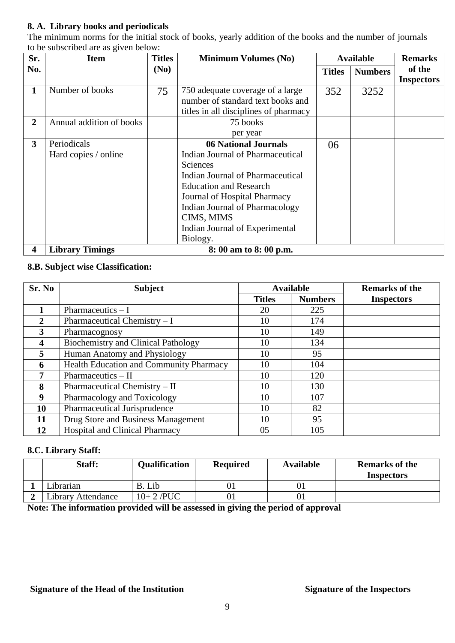#### **8. A. Library books and periodicals**

The minimum norms for the initial stock of books, yearly addition of the books and the number of journals to be subscribed are as given below:

| Sr.            | <b>Item</b>                         | <b>Titles</b> | <b>Minimum Volumes (No)</b>                                                                                                                                                                                                                                                    |               | <b>Available</b> | <b>Remarks</b>              |
|----------------|-------------------------------------|---------------|--------------------------------------------------------------------------------------------------------------------------------------------------------------------------------------------------------------------------------------------------------------------------------|---------------|------------------|-----------------------------|
| No.            |                                     | (No)          |                                                                                                                                                                                                                                                                                | <b>Titles</b> | <b>Numbers</b>   | of the<br><b>Inspectors</b> |
| $\mathbf 1$    | Number of books                     | 75            | 750 adequate coverage of a large<br>number of standard text books and<br>titles in all disciplines of pharmacy                                                                                                                                                                 | 352           | 3252             |                             |
| $\overline{2}$ | Annual addition of books            |               | 75 books<br>per year                                                                                                                                                                                                                                                           |               |                  |                             |
| 3              | Periodicals<br>Hard copies / online |               | <b>06 National Journals</b><br>Indian Journal of Pharmaceutical<br>Sciences<br>Indian Journal of Pharmaceutical<br><b>Education and Research</b><br>Journal of Hospital Pharmacy<br>Indian Journal of Pharmacology<br>CIMS, MIMS<br>Indian Journal of Experimental<br>Biology. | 06            |                  |                             |
| 4              | <b>Library Timings</b>              |               | 8: 00 am to 8: 00 p.m.                                                                                                                                                                                                                                                         |               |                  |                             |

#### **8.B. Subject wise Classification:**

| Sr. No | <b>Subject</b>                             |               | <b>Available</b> | <b>Remarks of the</b> |
|--------|--------------------------------------------|---------------|------------------|-----------------------|
|        |                                            | <b>Titles</b> | <b>Numbers</b>   | <b>Inspectors</b>     |
|        | Pharmaceutics $- I$                        | 20            | 225              |                       |
| 2      | Pharmaceutical Chemistry $-I$              | 10            | 174              |                       |
| 3      | Pharmacognosy                              | 10            | 149              |                       |
| 4      | <b>Biochemistry and Clinical Pathology</b> | 10            | 134              |                       |
| 5      | Human Anatomy and Physiology               | 10            | 95               |                       |
| 6      | Health Education and Community Pharmacy    | 10            | 104              |                       |
| 7      | Pharmaceutics $-$ II                       | 10            | 120              |                       |
| 8      | Pharmaceutical Chemistry - II              | 10            | 130              |                       |
| 9      | Pharmacology and Toxicology                | 10            | 107              |                       |
| 10     | Pharmaceutical Jurisprudence               | 10            | 82               |                       |
| 11     | Drug Store and Business Management         | 10            | 95               |                       |
| 12     | <b>Hospital and Clinical Pharmacy</b>      | 05            | 105              |                       |

#### **8.C. Library Staff:**

| Staff:             | <b>Qualification</b> | <b>Required</b> | <b>Available</b> | <b>Remarks of the</b><br><b>Inspectors</b> |
|--------------------|----------------------|-----------------|------------------|--------------------------------------------|
| Librarian          | Lib<br>B.            |                 |                  |                                            |
| Library Attendance | $10+2$ /PUC          |                 |                  |                                            |

**Note: The information provided will be assessed in giving the period of approval**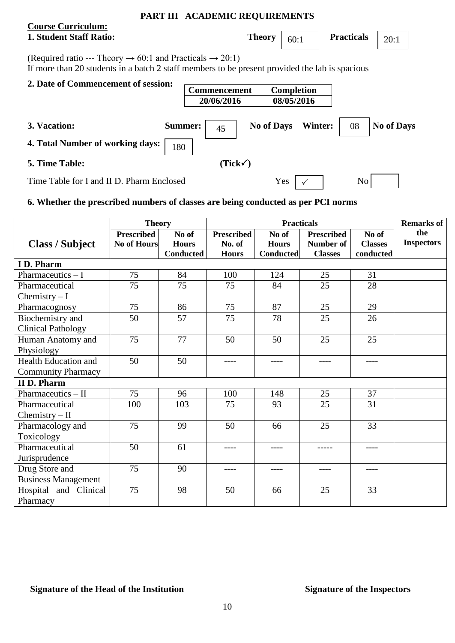#### **PART III ACADEMIC REQUIREMENTS**

### **Course Curriculum: 1. Student Staff Ratio:** Theory  $\begin{bmatrix} 60:1 \end{bmatrix}$

**Commencement Completion**

**Practicals**  $\begin{bmatrix} 20:1 \end{bmatrix}$ 

(Required ratio --- Theory  $\rightarrow 60:1$  and Practicals  $\rightarrow 20:1$ ) If more than 20 students in a batch 2 staff members to be present provided the lab is spacious

#### **2. Date of Commencement of session:**

|                                           |                | 20/06/2016         | 08/05/2016        |                |    |            |
|-------------------------------------------|----------------|--------------------|-------------------|----------------|----|------------|
| 3. Vacation:                              | <b>Summer:</b> | 45                 | <b>No of Days</b> | <b>Winter:</b> | 08 | No of Days |
| 4. Total Number of working days:          | 180            |                    |                   |                |    |            |
| <b>5. Time Table:</b>                     |                | $(Tick\checkmark)$ |                   |                |    |            |
| Time Table for I and II D. Pharm Enclosed |                |                    | Yes               |                | No |            |

### **6. Whether the prescribed numbers of classes are being conducted as per PCI norms**

|                             | <b>Theory</b>      |                  |                   | <b>Practicals</b> |                   |                | <b>Remarks of</b> |
|-----------------------------|--------------------|------------------|-------------------|-------------------|-------------------|----------------|-------------------|
|                             | <b>Prescribed</b>  | No of            | <b>Prescribed</b> | No of             | <b>Prescribed</b> | No of          | the               |
| <b>Class / Subject</b>      | <b>No of Hours</b> | <b>Hours</b>     | No. of            | <b>Hours</b>      | <b>Number of</b>  | <b>Classes</b> | <b>Inspectors</b> |
|                             |                    | <b>Conducted</b> | <b>Hours</b>      | <b>Conducted</b>  | <b>Classes</b>    | conducted      |                   |
| I D. Pharm                  |                    |                  |                   |                   |                   |                |                   |
| Pharmaceutics $-I$          | 75                 | 84               | 100               | 124               | 25                | 31             |                   |
| Pharmaceutical              | 75                 | 75               | 75                | 84                | 25                | 28             |                   |
| Chemistry $-I$              |                    |                  |                   |                   |                   |                |                   |
| Pharmacognosy               | 75                 | 86               | 75                | 87                | 25                | 29             |                   |
| Biochemistry and            | 50                 | 57               | 75                | 78                | 25                | 26             |                   |
| <b>Clinical Pathology</b>   |                    |                  |                   |                   |                   |                |                   |
| Human Anatomy and           | 75                 | 77               | 50                | 50                | 25                | 25             |                   |
| Physiology                  |                    |                  |                   |                   |                   |                |                   |
| <b>Health Education and</b> | 50                 | 50               | ----              | $--- -$           | ----              | $---$          |                   |
| <b>Community Pharmacy</b>   |                    |                  |                   |                   |                   |                |                   |
| <b>IID. Pharm</b>           |                    |                  |                   |                   |                   |                |                   |
| Pharmaceutics $-$ II        | 75                 | 96               | 100               | 148               | 25                | 37             |                   |
| Pharmaceutical              | 100                | 103              | 75                | 93                | 25                | 31             |                   |
| $Chemistry - II$            |                    |                  |                   |                   |                   |                |                   |
| Pharmacology and            | 75                 | 99               | 50                | 66                | 25                | 33             |                   |
| Toxicology                  |                    |                  |                   |                   |                   |                |                   |
| Pharmaceutical              | 50                 | 61               | ----              | $--- -$           | -----             | $- - - -$      |                   |
| Jurisprudence               |                    |                  |                   |                   |                   |                |                   |
| Drug Store and              | 75                 | 90               | ----              | ----              | ----              | ----           |                   |
| <b>Business Management</b>  |                    |                  |                   |                   |                   |                |                   |
| Hospital and Clinical       | 75                 | 98               | 50                | 66                | 25                | 33             |                   |
| Pharmacy                    |                    |                  |                   |                   |                   |                |                   |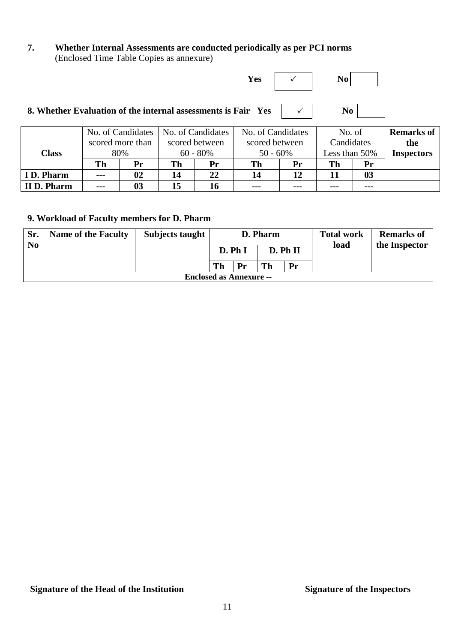**7. Whether Internal Assessments are conducted periodically as per PCI norms**  (Enclosed Time Table Copies as annexure)

| Yes                                                    |                |    |
|--------------------------------------------------------|----------------|----|
|                                                        | N <sub>0</sub> |    |
| No of Candidates   No of Candidates   No of Candidates | No of          | Rρ |

|                   |                                                                                                           |    | No. of Candidates   No. of Candidates |    | No. of Candidates |         | No. of     |         | <b>Remarks of</b> |
|-------------------|-----------------------------------------------------------------------------------------------------------|----|---------------------------------------|----|-------------------|---------|------------|---------|-------------------|
|                   | scored between<br>scored more than<br>scored between<br>$60 - 80\%$<br>$50 - 60\%$<br>80%<br><b>Class</b> |    |                                       |    |                   |         | Candidates |         | the               |
|                   |                                                                                                           |    | Less than 50%                         |    | <b>Inspectors</b> |         |            |         |                   |
|                   | Th                                                                                                        | Pr | Th                                    | Pr | Th                | Pr      | Th         | Pr      |                   |
| <b>ID. Pharm</b>  | $\qquad \qquad -$                                                                                         | 02 | 14                                    | 22 | 14                | 12      |            | 03      |                   |
| <b>IID. Pharm</b> | ---                                                                                                       | 03 | 15                                    | 16 | $- - -$           | $- - -$ | $- - -$    | $- - -$ |                   |

### **9. Workload of Faculty members for D. Pharm**

| Sr. | <b>Name of the Faculty</b>     | Subjects taught |        |    | D. Pharm |    | <b>Total work</b> | <b>Remarks of</b> |  |  |
|-----|--------------------------------|-----------------|--------|----|----------|----|-------------------|-------------------|--|--|
| No. |                                |                 | D. PhI |    | D. Ph II |    | load              | the Inspector     |  |  |
|     |                                |                 | Th     | Pr | Th       | Pr |                   |                   |  |  |
|     | <b>Enclosed as Annexure --</b> |                 |        |    |          |    |                   |                   |  |  |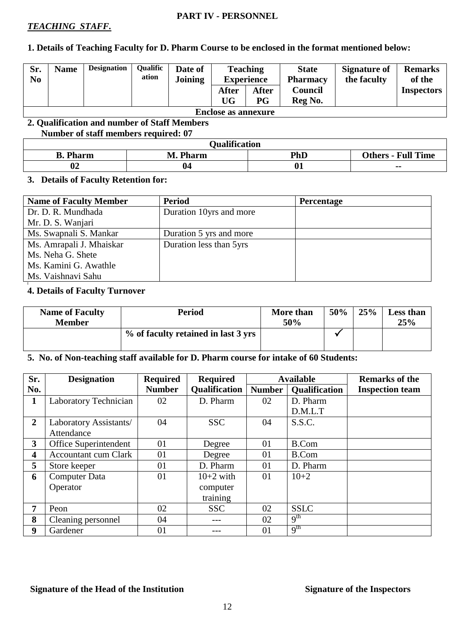#### **PART IV - PERSONNEL**

#### *TEACHING STAFF.*

#### **1. Details of Teaching Faculty for D. Pharm Course to be enclosed in the format mentioned below:**

| Sr.<br>N <sub>0</sub> | <b>Name</b>                | <b>Designation</b> | Qualific<br>ation | Date of<br><b>Joining</b> | <b>Teaching</b><br><b>Experience</b> |       | <b>State</b><br><b>Pharmacy</b> | <b>Signature of</b><br>the faculty | <b>Remarks</b><br>of the |  |  |  |
|-----------------------|----------------------------|--------------------|-------------------|---------------------------|--------------------------------------|-------|---------------------------------|------------------------------------|--------------------------|--|--|--|
|                       |                            |                    |                   |                           | After                                | After | Council                         |                                    | <b>Inspectors</b>        |  |  |  |
|                       |                            |                    |                   |                           | UG                                   | P G   | Reg No.                         |                                    |                          |  |  |  |
|                       | <b>Enclose as annexure</b> |                    |                   |                           |                                      |       |                                 |                                    |                          |  |  |  |

#### **2. Qualification and number of Staff Members Number of staff members required: 07**

| <b>Qualification</b> |          |            |                           |  |  |  |  |  |  |
|----------------------|----------|------------|---------------------------|--|--|--|--|--|--|
| <b>B.</b> Pharm      | M. Pharm | <b>PhD</b> | <b>Others - Full Time</b> |  |  |  |  |  |  |
| $\mathbf{A}$<br>V4   | 04       | Λ.<br>V1   | $\overline{\phantom{a}}$  |  |  |  |  |  |  |

#### **3. Details of Faculty Retention for:**

| <b>Name of Faculty Member</b> | <b>Period</b>           | <b>Percentage</b> |
|-------------------------------|-------------------------|-------------------|
| Dr. D. R. Mundhada            | Duration 10yrs and more |                   |
| Mr. D. S. Wanjari             |                         |                   |
| Ms. Swapnali S. Mankar        | Duration 5 yrs and more |                   |
| Ms. Amrapali J. Mhaiskar      | Duration less than 5yrs |                   |
| Ms. Neha G. Shete             |                         |                   |
| Ms. Kamini G. Awathle         |                         |                   |
| Ms. Vaishnavi Sahu            |                         |                   |

#### **4. Details of Faculty Turnover**

| <b>Name of Faculty</b><br><b>Member</b> | <b>Period</b>                       | More than<br>50% | 50% | 25% | <b>Less than</b><br>25% |
|-----------------------------------------|-------------------------------------|------------------|-----|-----|-------------------------|
|                                         | % of faculty retained in last 3 yrs |                  |     |     |                         |

#### **5. No. of Non-teaching staff available for D. Pharm course for intake of 60 Students:**

| Sr.                     | <b>Designation</b>          | <b>Required</b> | <b>Required</b>      |               | <b>Available</b>     | <b>Remarks of the</b>  |
|-------------------------|-----------------------------|-----------------|----------------------|---------------|----------------------|------------------------|
| No.                     |                             | <b>Number</b>   | <b>Qualification</b> | <b>Number</b> | <b>Qualification</b> | <b>Inspection team</b> |
| $\mathbf{1}$            | Laboratory Technician       | 02              | D. Pharm             | 02            | D. Pharm             |                        |
|                         |                             |                 |                      |               | D.M.L.T              |                        |
| $\overline{2}$          | Laboratory Assistants/      | 04              | <b>SSC</b>           | S.S.C.<br>04  |                      |                        |
|                         | Attendance                  |                 |                      |               |                      |                        |
| $\mathbf{3}$            | Office Superintendent       | 01              | Degree               | 01            | B.Com                |                        |
| $\overline{\mathbf{4}}$ | <b>Accountant cum Clark</b> | 01              | Degree               | 01            | B.Com                |                        |
| 5                       | Store keeper                | 01              | D. Pharm             | 01            | D. Pharm             |                        |
| 6                       | <b>Computer Data</b>        | 01              | $10+2$ with          | 01            | $10+2$               |                        |
|                         | Operator                    |                 | computer             |               |                      |                        |
|                         |                             |                 | training             |               |                      |                        |
| 7                       | Peon                        | 02              | <b>SSC</b>           | 02            | <b>SSLC</b>          |                        |
| 8                       | Cleaning personnel          | 04              |                      | 02            | 9 <sup>th</sup>      |                        |
| 9                       | Gardener                    | 01              |                      | 01            | 9 <sup>th</sup>      |                        |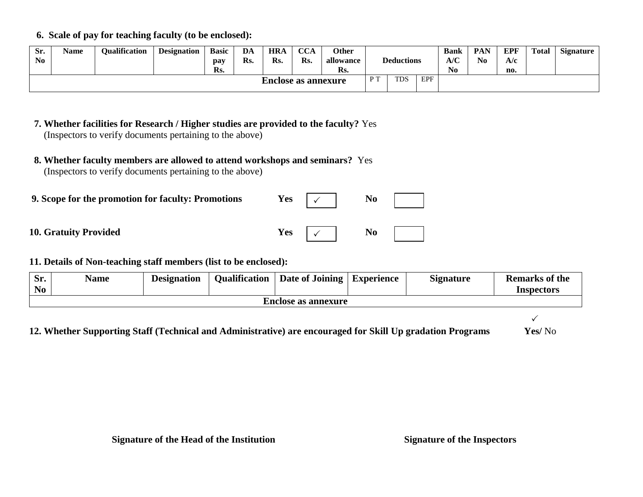**6. Scale of pay for teaching faculty (to be enclosed):**

| Sr.<br>N <sub>0</sub>      | Name | Oualification | <b>Designation</b> | <b>Basic</b><br>pay<br>Rs. | DA<br>Rs. | <b>HRA</b><br>Rs. | <b>CCA</b><br>Rs. | <b>Other</b><br>allowance<br>Rs. |  | <b>Deductions</b> |  | <b>Bank</b><br>A/C<br>N <sub>0</sub> | <b>PAN</b><br>$\bf No$ | EPF<br>A/c<br>no. | Total | <b>Signature</b> |
|----------------------------|------|---------------|--------------------|----------------------------|-----------|-------------------|-------------------|----------------------------------|--|-------------------|--|--------------------------------------|------------------------|-------------------|-------|------------------|
| <b>Enclose as annexure</b> |      |               |                    |                            |           | D T               | <b>TDS</b>        | EPF                              |  |                   |  |                                      |                        |                   |       |                  |

| 9. Scope for the promotion for faculty: Promotions | <b>Yes</b> | No             |
|----------------------------------------------------|------------|----------------|
| <b>10. Gratuity Provided</b>                       | Yes        | N <sub>0</sub> |

**11. Details of Non-teaching staff members (list to be enclosed):**

| Sr.<br>$\mathbf{N}\mathbf{0}$ | Name                       | <b>Designation</b> |  | Qualification   Date of Joining | <i>Experience</i> | <b>Signature</b> | <b>Remarks of the</b><br>Inspectors |  |  |  |  |  |
|-------------------------------|----------------------------|--------------------|--|---------------------------------|-------------------|------------------|-------------------------------------|--|--|--|--|--|
|                               | <b>Enclose as annexure</b> |                    |  |                                 |                   |                  |                                     |  |  |  |  |  |

 $\sqrt{ }$ 

 **12. Whether Supporting Staff (Technical and Administrative) are encouraged for Skill Up gradation Programs Yes/** No

 **<sup>7.</sup> Whether facilities for Research / Higher studies are provided to the faculty?** Yes (Inspectors to verify documents pertaining to the above)

 **<sup>8.</sup> Whether faculty members are allowed to attend workshops and seminars?** Yes (Inspectors to verify documents pertaining to the above)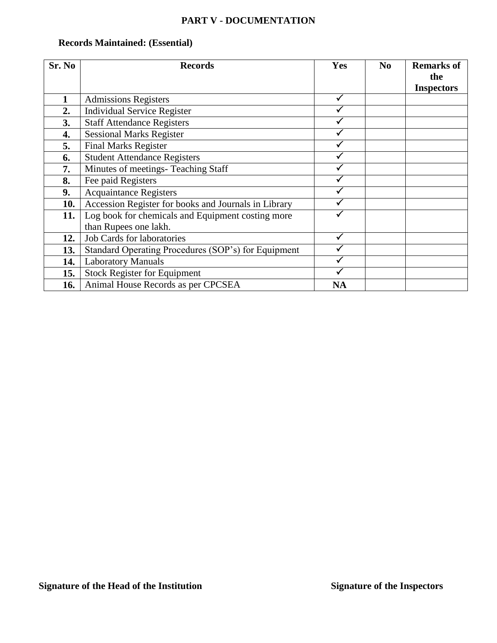#### **PART V - DOCUMENTATION**

## **Records Maintained: (Essential)**

| Sr. No | <b>Records</b>                                       | Yes       | N <sub>0</sub> | <b>Remarks of</b> |
|--------|------------------------------------------------------|-----------|----------------|-------------------|
|        |                                                      |           |                | the               |
|        |                                                      |           |                | <b>Inspectors</b> |
|        | <b>Admissions Registers</b>                          | ✓         |                |                   |
| 2.     | <b>Individual Service Register</b>                   |           |                |                   |
| 3.     | <b>Staff Attendance Registers</b>                    |           |                |                   |
| 4.     | <b>Sessional Marks Register</b>                      |           |                |                   |
| 5.     | <b>Final Marks Register</b>                          |           |                |                   |
| 6.     | <b>Student Attendance Registers</b>                  |           |                |                   |
| 7.     | Minutes of meetings- Teaching Staff                  |           |                |                   |
| 8.     | Fee paid Registers                                   |           |                |                   |
| 9.     | <b>Acquaintance Registers</b>                        |           |                |                   |
| 10.    | Accession Register for books and Journals in Library |           |                |                   |
| 11.    | Log book for chemicals and Equipment costing more    |           |                |                   |
|        | than Rupees one lakh.                                |           |                |                   |
| 12.    | <b>Job Cards for laboratories</b>                    |           |                |                   |
| 13.    | Standard Operating Procedures (SOP's) for Equipment  |           |                |                   |
| 14.    | <b>Laboratory Manuals</b>                            |           |                |                   |
| 15.    | <b>Stock Register for Equipment</b>                  |           |                |                   |
| 16.    | Animal House Records as per CPCSEA                   | <b>NA</b> |                |                   |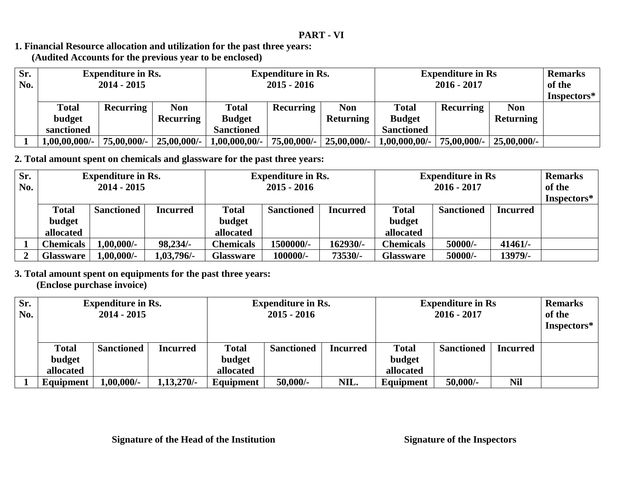#### **1. Financial Resource allocation and utilization for the past three years: (Audited Accounts for the previous year to be enclosed)**

| Sr.<br>No. | <b>Expenditure in Rs.</b><br>$2014 - 2015$ |                  |                | <b>Expenditure in Rs.</b><br>$2015 - 2016$ |                  |                | <b>Expenditure in Rs</b><br>$2016 - 2017$ |                  |                  | <b>Remarks</b><br>of the |
|------------|--------------------------------------------|------------------|----------------|--------------------------------------------|------------------|----------------|-------------------------------------------|------------------|------------------|--------------------------|
|            |                                            |                  |                |                                            |                  |                |                                           |                  |                  | Inspectors*              |
|            | <b>Total</b>                               | <b>Recurring</b> | <b>Non</b>     | <b>Total</b>                               | <b>Recurring</b> | <b>Non</b>     | Total                                     | <b>Recurring</b> | <b>Non</b>       |                          |
|            | budget                                     |                  | Recurring      | <b>Budget</b>                              |                  | Returning      | <b>Budget</b>                             |                  | <b>Returning</b> |                          |
|            | sanctioned                                 |                  |                | <b>Sanctioned</b>                          |                  |                | <b>Sanctioned</b>                         |                  |                  |                          |
|            | $1,00,00,000/$ -                           | 75,00,000/-      | $25,00,000/$ - | $1,00,000,00/$ -                           | 75,00,000/-      | $25,00,000/$ - | $1,00,000,00/$ -                          | 75,00,000/-      | $25,00,000/$ -   |                          |

**2. Total amount spent on chemicals and glassware for the past three years:**

| Sr.            |                  | <b>Expenditure in Rs.</b> |                 |                  | <b>Expenditure in Rs.</b> |                 |                  | <b>Expenditure in Rs</b> |                 |             |
|----------------|------------------|---------------------------|-----------------|------------------|---------------------------|-----------------|------------------|--------------------------|-----------------|-------------|
| No.            | $2014 - 2015$    |                           |                 | $2015 - 2016$    |                           |                 | $2016 - 2017$    |                          |                 | of the      |
|                |                  |                           |                 |                  |                           |                 |                  |                          |                 | Inspectors* |
|                | <b>Total</b>     | <b>Sanctioned</b>         | <b>Incurred</b> | <b>Total</b>     | <b>Sanctioned</b>         | <b>Incurred</b> | <b>Total</b>     | <b>Sanctioned</b>        | <b>Incurred</b> |             |
|                | budget           |                           |                 | budget           |                           |                 | budget           |                          |                 |             |
|                | allocated        |                           |                 | allocated        |                           |                 | allocated        |                          |                 |             |
|                | <b>Chemicals</b> | $1,00,000/$ -             | 98,234/-        | Chemicals        | 1500000/-                 | 162930/-        | <b>Chemicals</b> | 50000/-                  | $41461/-$       |             |
| $\overline{ }$ | <b>Glassware</b> | $1,00,000/$ -             | 1,03,796/-      | <b>Glassware</b> | 100000/-                  | 73530/-         | <b>Glassware</b> | 50000/-                  | 13979/-         |             |

**3. Total amount spent on equipments for the past three years:**

 **(Enclose purchase invoice)**

| Sr.<br>No. | <b>Expenditure in Rs.</b><br>$2014 - 2015$ |                   | <b>Expenditure in Rs.</b><br>$2015 - 2016$ |                        |                   | <b>Expenditure in Rs</b><br>$2016 - 2017$ |                        |                   | <b>Remarks</b><br>of the<br>Inspectors* |  |
|------------|--------------------------------------------|-------------------|--------------------------------------------|------------------------|-------------------|-------------------------------------------|------------------------|-------------------|-----------------------------------------|--|
|            | <b>Total</b><br>budget                     | <b>Sanctioned</b> | Incurred                                   | <b>Total</b><br>budget | <b>Sanctioned</b> | <b>Incurred</b>                           | <b>Total</b><br>budget | <b>Sanctioned</b> | <b>Incurred</b>                         |  |
|            | allocated                                  |                   |                                            | allocated              |                   |                                           | allocated              |                   |                                         |  |
|            | Equipment                                  | $.00,000/-$       | $1,13,270/-$                               | Equipment              | $50,000/-$        | NIL.                                      | Equipment              | $50,000/-$        | Nil                                     |  |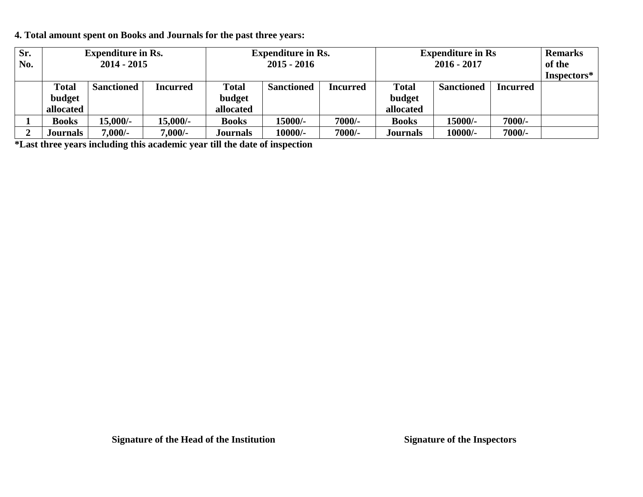**4. Total amount spent on Books and Journals for the past three years:**

| Sr.<br>No. | <b>Expenditure in Rs.</b><br>$2014 - 2015$ |                   | <b>Expenditure in Rs.</b><br>$2015 - 2016$ |              | <b>Expenditure in Rs</b><br>$2016 - 2017$ |                 |                 | <b>Remarks</b><br>of the |          |             |
|------------|--------------------------------------------|-------------------|--------------------------------------------|--------------|-------------------------------------------|-----------------|-----------------|--------------------------|----------|-------------|
|            |                                            |                   |                                            |              |                                           |                 |                 |                          |          | Inspectors* |
|            | <b>Total</b>                               | <b>Sanctioned</b> | Incurred                                   | <b>Total</b> | <b>Sanctioned</b>                         | <b>Incurred</b> | <b>Total</b>    | <b>Sanctioned</b>        | Incurred |             |
|            | budget                                     |                   |                                            | budget       |                                           |                 | budget          |                          |          |             |
|            | allocated                                  |                   |                                            | allocated    |                                           |                 | allocated       |                          |          |             |
|            | <b>Books</b>                               | $15,000/-$        | 15,000/-                                   | <b>Books</b> | 15000/-                                   | 7000/-          | <b>Books</b>    | 15000/-                  | $7000/-$ |             |
|            | Journals                                   | $7,000/$ -        | $7,000/$ -                                 | Journals     | 10000/-                                   | 7000/-          | <b>Journals</b> | 10000/-                  | 7000/-   |             |

**\*Last three years including this academic year till the date of inspection**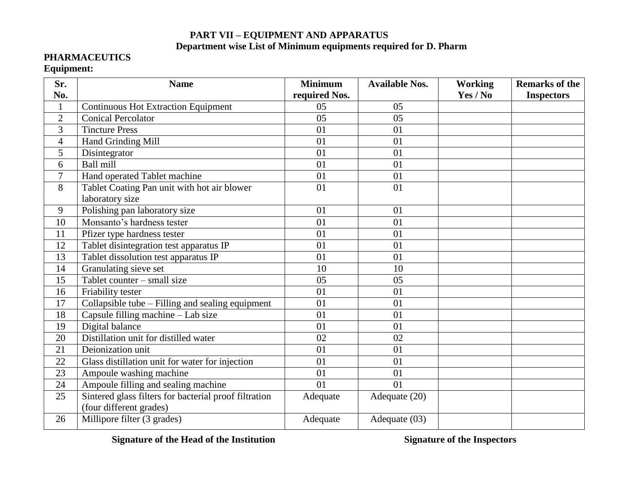### **PART VII – EQUIPMENT AND APPARATUS Department wise List of Minimum equipments required for D. Pharm**

#### **PHARMACEUTICS**

#### **Equipment:**

| Sr.                      | <b>Name</b>                                             | <b>Minimum</b> | <b>Available Nos.</b> | <b>Working</b> | <b>Remarks of the</b> |
|--------------------------|---------------------------------------------------------|----------------|-----------------------|----------------|-----------------------|
| No.                      |                                                         | required Nos.  |                       | Yes / No       | <b>Inspectors</b>     |
| $\mathbf{1}$             | <b>Continuous Hot Extraction Equipment</b>              | 05             | 05                    |                |                       |
| $\overline{2}$           | <b>Conical Percolator</b>                               | 05             | 05                    |                |                       |
| 3                        | <b>Tincture Press</b>                                   | 01             | 01                    |                |                       |
| $\overline{\mathcal{A}}$ | Hand Grinding Mill                                      | 01             | 01                    |                |                       |
| 5                        | Disintegrator                                           | 01             | 01                    |                |                       |
| 6                        | Ball mill                                               | 01             | 01                    |                |                       |
| 7                        | Hand operated Tablet machine                            | 01             | 01                    |                |                       |
| 8                        | Tablet Coating Pan unit with hot air blower             | 01             | 01                    |                |                       |
|                          | laboratory size                                         |                |                       |                |                       |
| 9                        | Polishing pan laboratory size                           | 01             | 01                    |                |                       |
| 10                       | Monsanto's hardness tester                              | 01             | 01                    |                |                       |
| 11                       | Pfizer type hardness tester                             | 01             | 01                    |                |                       |
| 12                       | Tablet disintegration test apparatus IP                 | 01             | 01                    |                |                       |
| 13                       | Tablet dissolution test apparatus IP                    | 01             | 01                    |                |                       |
| 14                       | Granulating sieve set                                   | 10             | 10                    |                |                       |
| 15                       | Tablet counter $-$ small size                           | 05             | 05                    |                |                       |
| 16                       | Friability tester                                       | 01             | 01                    |                |                       |
| 17                       | Collapsible tube - Filling and sealing equipment        | 01             | 01                    |                |                       |
| 18                       | $\overline{\text{Capsul}}$ e filling machine - Lab size | 01             | 01                    |                |                       |
| 19                       | Digital balance                                         | 01             | 01                    |                |                       |
| 20                       | Distillation unit for distilled water                   | 02             | 02                    |                |                       |
| 21                       | Deionization unit                                       | 01             | 01                    |                |                       |
| 22                       | Glass distillation unit for water for injection         | 01             | 01                    |                |                       |
| 23                       | Ampoule washing machine                                 | 01             | 01                    |                |                       |
| 24                       | Ampoule filling and sealing machine                     | 01             | 01                    |                |                       |
| 25                       | Sintered glass filters for bacterial proof filtration   | Adequate       | Adequate (20)         |                |                       |
|                          | (four different grades)                                 |                |                       |                |                       |
| 26                       | Millipore filter (3 grades)                             | Adequate       | Adequate (03)         |                |                       |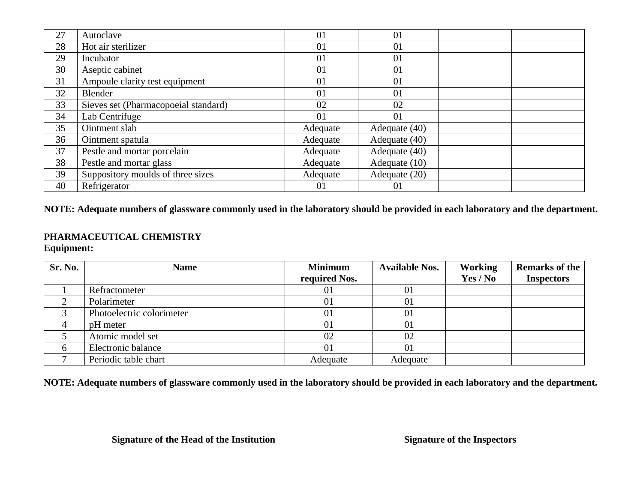| 27 | Autoclave                            | 01       | 01            |  |
|----|--------------------------------------|----------|---------------|--|
| 28 | Hot air sterilizer                   | 01       | 01            |  |
| 29 | Incubator                            | 01       | 01            |  |
| 30 | Aseptic cabinet                      | 01       | 01            |  |
| 31 | Ampoule clarity test equipment       | 01       | 01            |  |
| 32 | Blender                              | 01       | 01            |  |
| 33 | Sieves set (Pharmacopoeial standard) | 02       | 02            |  |
| 34 | Lab Centrifuge                       | 01       | 01            |  |
| 35 | Ointment slab                        | Adequate | Adequate (40) |  |
| 36 | Ointment spatula                     | Adequate | Adequate (40) |  |
| 37 | Pestle and mortar porcelain          | Adequate | Adequate (40) |  |
| 38 | Pestle and mortar glass              | Adequate | Adequate (10) |  |
| 39 | Suppository moulds of three sizes    | Adequate | Adequate (20) |  |
| 40 | Refrigerator                         | 01       | 01            |  |

**NOTE: Adequate numbers of glassware commonly used in the laboratory should be provided in each laboratory and the department.**

#### **PHARMACEUTICAL CHEMISTRY Equipment:**

| Sr. No. | <b>Name</b>               | <b>Minimum</b> | <b>Available Nos.</b> | <b>Working</b> | <b>Remarks of the</b> |
|---------|---------------------------|----------------|-----------------------|----------------|-----------------------|
|         |                           | required Nos.  |                       | Yes / No       | <b>Inspectors</b>     |
|         | Refractometer             | 01             | 01                    |                |                       |
|         | Polarimeter               | 01             | 01                    |                |                       |
|         | Photoelectric colorimeter | 01             | 01                    |                |                       |
|         | pH meter                  | 01             | 01                    |                |                       |
|         | Atomic model set          | 02             | 02                    |                |                       |
|         | Electronic balance        | 01             | 01                    |                |                       |
|         | Periodic table chart      | Adequate       | Adequate              |                |                       |

**NOTE: Adequate numbers of glassware commonly used in the laboratory should be provided in each laboratory and the department.**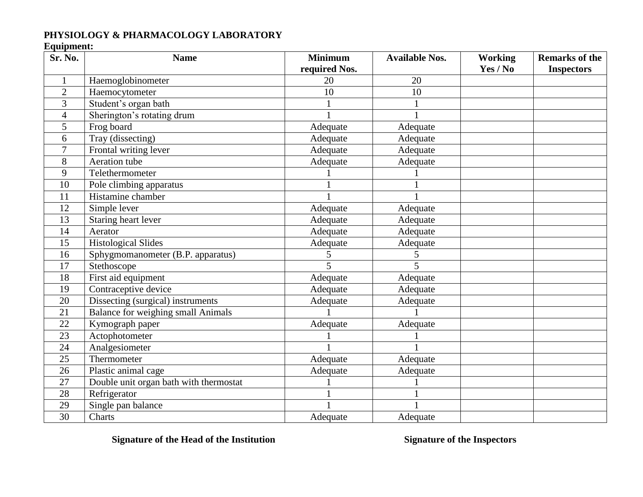### **PHYSIOLOGY & PHARMACOLOGY LABORATORY**

## **Equipment:**

| Sr. No.        | <b>Name</b>                               | <b>Minimum</b>          | <b>Available Nos.</b>    | <b>Working</b> | <b>Remarks of the</b> |
|----------------|-------------------------------------------|-------------------------|--------------------------|----------------|-----------------------|
|                |                                           | required Nos.           |                          | Yes / No       | <b>Inspectors</b>     |
| $\mathbf{1}$   | Haemoglobinometer                         | 20                      | 20                       |                |                       |
| $\overline{2}$ | Haemocytometer                            | 10                      | 10                       |                |                       |
| 3              | Student's organ bath                      |                         |                          |                |                       |
| $\overline{4}$ | Sherington's rotating drum                |                         |                          |                |                       |
| 5              | Frog board                                | Adequate                | Adequate                 |                |                       |
| 6              | Tray (dissecting)                         | Adequate                | Adequate                 |                |                       |
| 7              | Frontal writing lever                     | Adequate                | Adequate                 |                |                       |
| 8              | Aeration tube                             | Adequate                | Adequate                 |                |                       |
| 9              | Telethermometer                           |                         |                          |                |                       |
| 10             | Pole climbing apparatus                   |                         |                          |                |                       |
| 11             | Histamine chamber                         |                         |                          |                |                       |
| 12             | Simple lever                              | Adequate                | Adequate                 |                |                       |
| 13             | Staring heart lever                       | Adequate                | Adequate                 |                |                       |
| 14             | Aerator                                   | Adequate                | Adequate                 |                |                       |
| 15             | <b>Histological Slides</b>                | Adequate                | Adequate                 |                |                       |
| 16             | Sphygmomanometer (B.P. apparatus)         |                         | 5                        |                |                       |
| 17             | Stethoscope                               | $\overline{\mathbf{5}}$ | $\overline{\phantom{0}}$ |                |                       |
| 18             | First aid equipment                       | Adequate                | Adequate                 |                |                       |
| 19             | Contraceptive device                      | Adequate                | Adequate                 |                |                       |
| 20             | Dissecting (surgical) instruments         | Adequate                | Adequate                 |                |                       |
| 21             | <b>Balance for weighing small Animals</b> |                         |                          |                |                       |
| 22             | Kymograph paper                           | Adequate                | Adequate                 |                |                       |
| 23             | Actophotometer                            |                         |                          |                |                       |
| 24             | Analgesiometer                            |                         |                          |                |                       |
| 25             | Thermometer                               | Adequate                | Adequate                 |                |                       |
| 26             | Plastic animal cage                       | Adequate                | Adequate                 |                |                       |
| 27             | Double unit organ bath with thermostat    |                         |                          |                |                       |
| 28             | Refrigerator                              |                         |                          |                |                       |
| 29             | Single pan balance                        |                         |                          |                |                       |
| 30             | Charts                                    | Adequate                | Adequate                 |                |                       |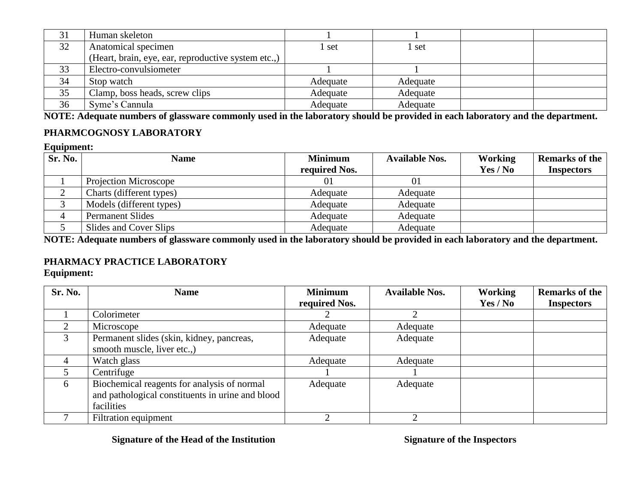| 31 | Human skeleton                                      |          |          |  |
|----|-----------------------------------------------------|----------|----------|--|
| 32 | Anatomical specimen                                 | set      | set      |  |
|    | (Heart, brain, eye, ear, reproductive system etc.,) |          |          |  |
| 33 | Electro-convulsiometer                              |          |          |  |
| 34 | Stop watch                                          | Adequate | Adequate |  |
| 35 | Clamp, boss heads, screw clips                      | Adequate | Adequate |  |
| 36 | Syme's Cannula                                      | Adequate | Adequate |  |

**NOTE: Adequate numbers of glassware commonly used in the laboratory should be provided in each laboratory and the department.**

### **PHARMCOGNOSY LABORATORY**

#### **Equipment:**

| Sr. No. | <b>Name</b>              | <b>Minimum</b><br>required Nos. | <b>Available Nos.</b> | <b>Working</b><br>Yes / No | <b>Remarks of the</b><br><b>Inspectors</b> |
|---------|--------------------------|---------------------------------|-----------------------|----------------------------|--------------------------------------------|
|         | Projection Microscope    |                                 | 01                    |                            |                                            |
|         | Charts (different types) | Adequate                        | Adequate              |                            |                                            |
|         | Models (different types) | Adequate                        | Adequate              |                            |                                            |
|         | <b>Permanent Slides</b>  | Adequate                        | Adequate              |                            |                                            |
|         | Slides and Cover Slips   | Adequate                        | Adequate              |                            |                                            |

**NOTE: Adequate numbers of glassware commonly used in the laboratory should be provided in each laboratory and the department.**

### **PHARMACY PRACTICE LABORATORY**

**Equipment:**

| Sr. No. | <b>Name</b>                                      | <b>Minimum</b> | <b>Available Nos.</b> | Working  | <b>Remarks of the</b> |
|---------|--------------------------------------------------|----------------|-----------------------|----------|-----------------------|
|         |                                                  | required Nos.  |                       | Yes / No | <b>Inspectors</b>     |
|         | Colorimeter                                      |                |                       |          |                       |
|         | Microscope                                       | Adequate       | Adequate              |          |                       |
| 3       | Permanent slides (skin, kidney, pancreas,        | Adequate       | Adequate              |          |                       |
|         | smooth muscle, liver etc.,                       |                |                       |          |                       |
|         | Watch glass                                      | Adequate       | Adequate              |          |                       |
|         | Centrifuge                                       |                |                       |          |                       |
| 6       | Biochemical reagents for analysis of normal      | Adequate       | Adequate              |          |                       |
|         | and pathological constituents in urine and blood |                |                       |          |                       |
|         | facilities                                       |                |                       |          |                       |
|         | Filtration equipment                             |                |                       |          |                       |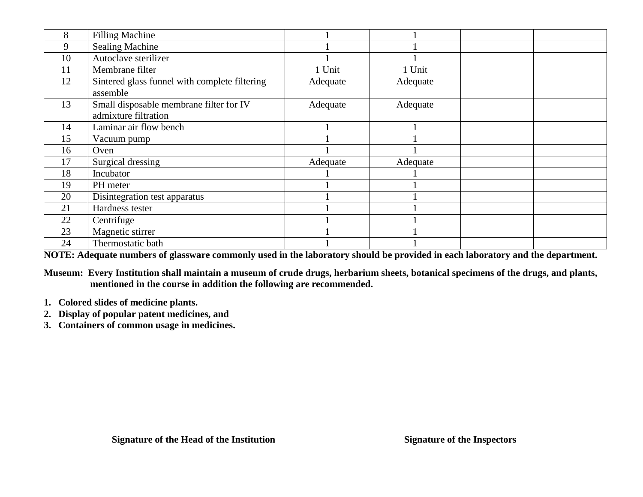| 8  | <b>Filling Machine</b>                                          |          |          |  |
|----|-----------------------------------------------------------------|----------|----------|--|
| 9  | <b>Sealing Machine</b>                                          |          |          |  |
| 10 | Autoclave sterilizer                                            |          |          |  |
| 11 | Membrane filter                                                 | 1 Unit   | 1 Unit   |  |
| 12 | Sintered glass funnel with complete filtering<br>assemble       | Adequate | Adequate |  |
| 13 | Small disposable membrane filter for IV<br>admixture filtration | Adequate | Adequate |  |
| 14 | Laminar air flow bench                                          |          |          |  |
| 15 | Vacuum pump                                                     |          |          |  |
| 16 | Oven                                                            |          |          |  |
| 17 | Surgical dressing                                               | Adequate | Adequate |  |
| 18 | Incubator                                                       |          |          |  |
| 19 | PH meter                                                        |          |          |  |
| 20 | Disintegration test apparatus                                   |          |          |  |
| 21 | Hardness tester                                                 |          |          |  |
| 22 | Centrifuge                                                      |          |          |  |
| 23 | Magnetic stirrer                                                |          |          |  |
| 24 | Thermostatic bath                                               |          |          |  |

**NOTE: Adequate numbers of glassware commonly used in the laboratory should be provided in each laboratory and the department.**

**Museum: Every Institution shall maintain a museum of crude drugs, herbarium sheets, botanical specimens of the drugs, and plants, mentioned in the course in addition the following are recommended.**

- **1. Colored slides of medicine plants.**
- **2. Display of popular patent medicines, and**
- **3. Containers of common usage in medicines.**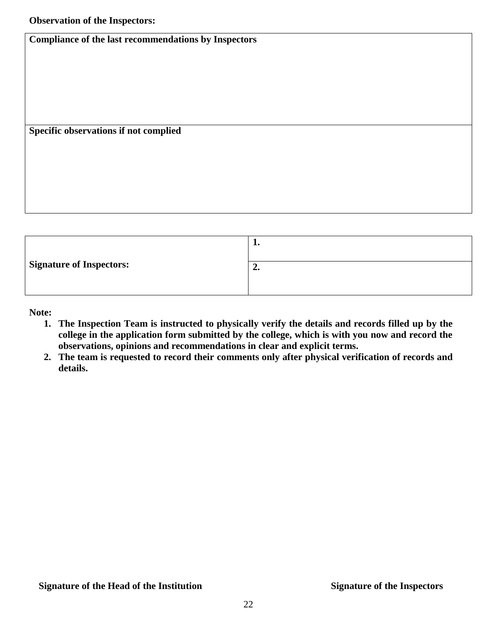**Compliance of the last recommendations by Inspectors** 

**Specific observations if not complied**

|                                 | ı. |
|---------------------------------|----|
| <b>Signature of Inspectors:</b> | ∸∙ |

**Note:** 

- **1. The Inspection Team is instructed to physically verify the details and records filled up by the college in the application form submitted by the college, which is with you now and record the observations, opinions and recommendations in clear and explicit terms.**
- **2. The team is requested to record their comments only after physical verification of records and details.**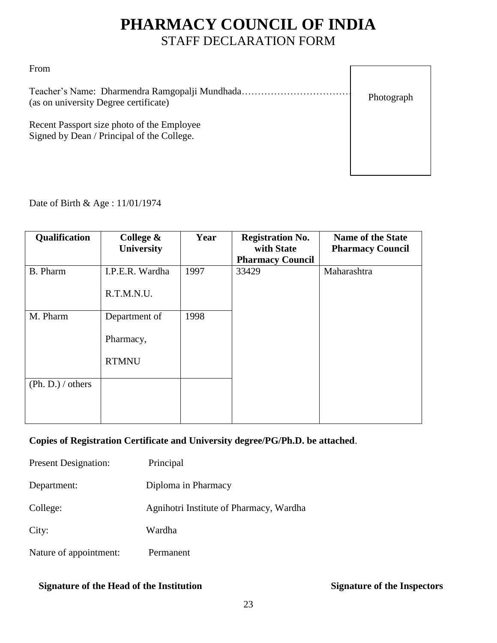# **PHARMACY COUNCIL OF INDIA** STAFF DECLARATION FORM

From

Teacher's Name: Dharmendra Ramgopalji Mundhada………………………………………………… (as on university Degree certificate)

Photograph

Recent Passport size photo of the Employee Signed by Dean / Principal of the College.

Date of Birth & Age : 11/01/1974

| Qualification     | College &       | Year | <b>Registration No.</b> | <b>Name of the State</b> |
|-------------------|-----------------|------|-------------------------|--------------------------|
|                   | University      |      | with State              | <b>Pharmacy Council</b>  |
|                   |                 |      | <b>Pharmacy Council</b> |                          |
| <b>B.</b> Pharm   | I.P.E.R. Wardha | 1997 | 33429                   | Maharashtra              |
|                   |                 |      |                         |                          |
|                   | R.T.M.N.U.      |      |                         |                          |
|                   |                 |      |                         |                          |
| M. Pharm          | Department of   | 1998 |                         |                          |
|                   |                 |      |                         |                          |
|                   | Pharmacy,       |      |                         |                          |
|                   |                 |      |                         |                          |
|                   | <b>RTMNU</b>    |      |                         |                          |
|                   |                 |      |                         |                          |
| (Ph. D.) / others |                 |      |                         |                          |
|                   |                 |      |                         |                          |
|                   |                 |      |                         |                          |
|                   |                 |      |                         |                          |

### **Copies of Registration Certificate and University degree/PG/Ph.D. be attached**.

| <b>Present Designation:</b> | Principal                               |
|-----------------------------|-----------------------------------------|
| Department:                 | Diploma in Pharmacy                     |
| College:                    | Agnihotri Institute of Pharmacy, Wardha |
| City:                       | Wardha                                  |
| Nature of appointment:      | Permanent                               |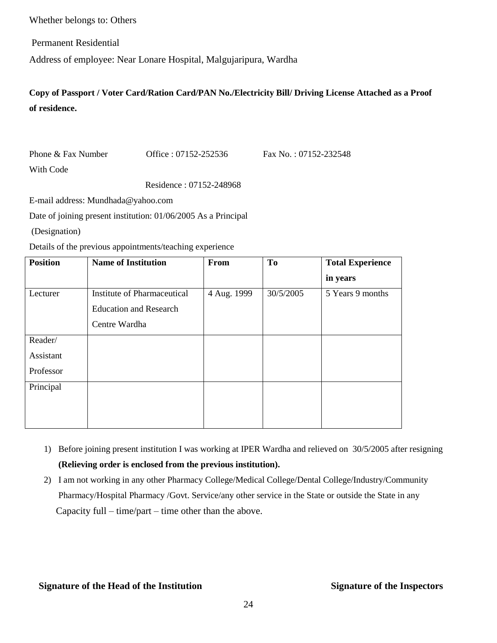Whether belongs to: Others

Permanent Residential

Address of employee: Near Lonare Hospital, Malgujaripura, Wardha

**Copy of Passport / Voter Card/Ration Card/PAN No./Electricity Bill/ Driving License Attached as a Proof of residence.**

Phone & Fax Number Office : 07152-252536 Fax No. : 07152-232548 With Code

Residence : 07152-248968

E-mail address: Mundhada@yahoo.com

Date of joining present institution: 01/06/2005 As a Principal

(Designation)

Details of the previous appointments/teaching experience

| <b>Position</b> | <b>Name of Institution</b>         | From        | <b>To</b> | <b>Total Experience</b> |
|-----------------|------------------------------------|-------------|-----------|-------------------------|
|                 |                                    |             |           | in years                |
| Lecturer        | <b>Institute of Pharmaceutical</b> | 4 Aug. 1999 | 30/5/2005 | 5 Years 9 months        |
|                 | <b>Education and Research</b>      |             |           |                         |
|                 | Centre Wardha                      |             |           |                         |
| Reader/         |                                    |             |           |                         |
| Assistant       |                                    |             |           |                         |
| Professor       |                                    |             |           |                         |
| Principal       |                                    |             |           |                         |
|                 |                                    |             |           |                         |
|                 |                                    |             |           |                         |

- 1) Before joining present institution I was working at IPER Wardha and relieved on 30/5/2005 after resigning **(Relieving order is enclosed from the previous institution).**
- 2) I am not working in any other Pharmacy College/Medical College/Dental College/Industry/Community Pharmacy/Hospital Pharmacy /Govt. Service/any other service in the State or outside the State in any Capacity full – time/part – time other than the above.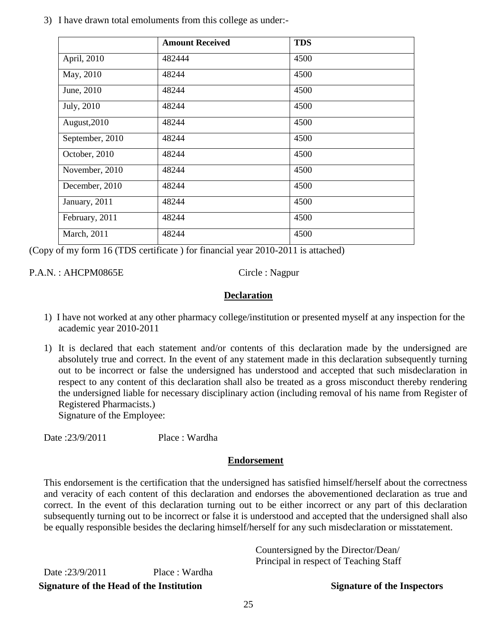3) I have drawn total emoluments from this college as under:-

|                 | <b>Amount Received</b> | <b>TDS</b> |
|-----------------|------------------------|------------|
| April, 2010     | 482444                 | 4500       |
| May, 2010       | 48244                  | 4500       |
| June, 2010      | 48244                  | 4500       |
| July, 2010      | 48244                  | 4500       |
| August, 2010    | 48244                  | 4500       |
| September, 2010 | 48244                  | 4500       |
| October, 2010   | 48244                  | 4500       |
| November, 2010  | 48244                  | 4500       |
| December, 2010  | 48244                  | 4500       |
| January, 2011   | 48244                  | 4500       |
| February, 2011  | 48244                  | 4500       |
| March, 2011     | 48244                  | 4500       |

(Copy of my form 16 (TDS certificate ) for financial year 2010-2011 is attached)

P.A.N. : AHCPM0865E Circle : Nagpur

### **Declaration**

- 1) I have not worked at any other pharmacy college/institution or presented myself at any inspection for the academic year 2010-2011
- 1) It is declared that each statement and/or contents of this declaration made by the undersigned are absolutely true and correct. In the event of any statement made in this declaration subsequently turning out to be incorrect or false the undersigned has understood and accepted that such misdeclaration in respect to any content of this declaration shall also be treated as a gross misconduct thereby rendering the undersigned liable for necessary disciplinary action (including removal of his name from Register of Registered Pharmacists.)

Signature of the Employee:

Date : 23/9/2011 Place : Wardha

### **Endorsement**

This endorsement is the certification that the undersigned has satisfied himself/herself about the correctness and veracity of each content of this declaration and endorses the abovementioned declaration as true and correct. In the event of this declaration turning out to be either incorrect or any part of this declaration subsequently turning out to be incorrect or false it is understood and accepted that the undersigned shall also be equally responsible besides the declaring himself/herself for any such misdeclaration or misstatement.

| Signature of the Head of the Institution |                | <b>Signature of the Inspectors</b>     |
|------------------------------------------|----------------|----------------------------------------|
| Date:23/9/2011                           | Place : Wardha | Principal in respect of Teaching Staff |
|                                          |                | Countersigned by the Director/Dean/    |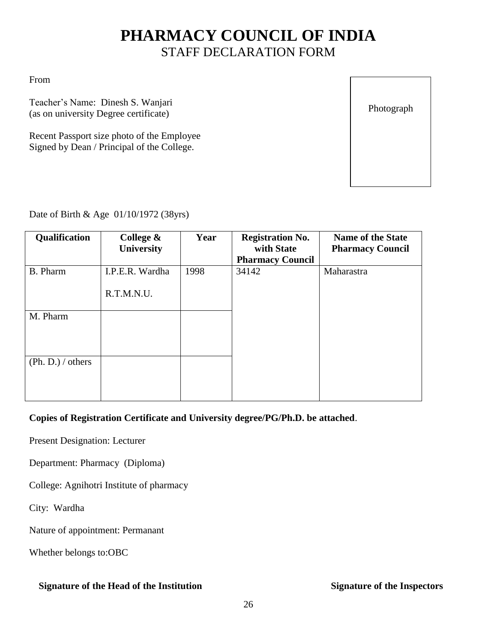# **PHARMACY COUNCIL OF INDIA** STAFF DECLARATION FORM

From

Teacher's Name: Dinesh S. Wanjari (as on university Degree certificate)

Recent Passport size photo of the Employee Signed by Dean / Principal of the College.

Photograph

Date of Birth & Age 01/10/1972 (38yrs)

| Qualification     | College $\&$<br>University | Year | <b>Registration No.</b><br>with State | <b>Name of the State</b><br><b>Pharmacy Council</b> |
|-------------------|----------------------------|------|---------------------------------------|-----------------------------------------------------|
|                   |                            |      | <b>Pharmacy Council</b>               |                                                     |
| B. Pharm          | I.P.E.R. Wardha            | 1998 | 34142                                 | Maharastra                                          |
|                   | R.T.M.N.U.                 |      |                                       |                                                     |
| M. Pharm          |                            |      |                                       |                                                     |
|                   |                            |      |                                       |                                                     |
|                   |                            |      |                                       |                                                     |
| (Ph. D.) / others |                            |      |                                       |                                                     |
|                   |                            |      |                                       |                                                     |
|                   |                            |      |                                       |                                                     |

#### **Copies of Registration Certificate and University degree/PG/Ph.D. be attached**.

Present Designation: Lecturer

Department: Pharmacy (Diploma)

College: Agnihotri Institute of pharmacy

City: Wardha

Nature of appointment: Permanant

Whether belongs to:OBC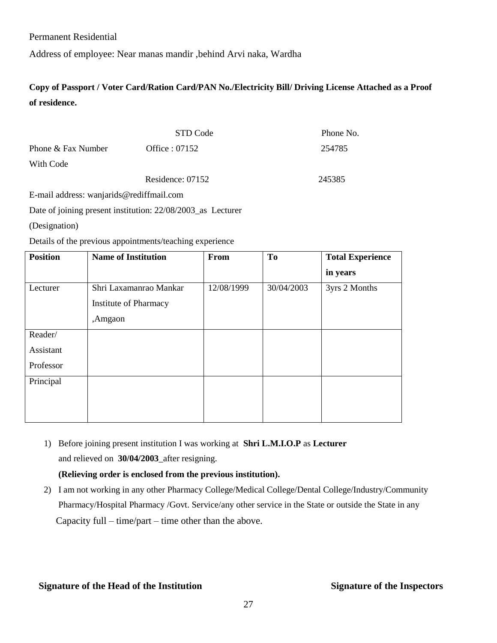Permanent Residential

Address of employee: Near manas mandir ,behind Arvi naka, Wardha

**Copy of Passport / Voter Card/Ration Card/PAN No./Electricity Bill/ Driving License Attached as a Proof of residence.**

| STD Code         | Phone No. |
|------------------|-----------|
| Office : $07152$ | 254785    |
|                  |           |
| Residence: 07152 | 245385    |
|                  |           |

E-mail address: wanjarids@rediffmail.com

Date of joining present institution: 22/08/2003\_as Lecturer

(Designation)

Details of the previous appointments/teaching experience

| <b>Position</b> | <b>Name of Institution</b>   | From       | T <sub>o</sub> | <b>Total Experience</b> |
|-----------------|------------------------------|------------|----------------|-------------------------|
|                 |                              |            |                | in years                |
| Lecturer        | Shri Laxamanrao Mankar       | 12/08/1999 | 30/04/2003     | 3yrs 2 Months           |
|                 | <b>Institute of Pharmacy</b> |            |                |                         |
|                 | ,Amgaon                      |            |                |                         |
| Reader/         |                              |            |                |                         |
| Assistant       |                              |            |                |                         |
| Professor       |                              |            |                |                         |
| Principal       |                              |            |                |                         |
|                 |                              |            |                |                         |
|                 |                              |            |                |                         |

1) Before joining present institution I was working at **Shri L.M.I.O.P** as **Lecturer**  and relieved on **30/04/2003**\_after resigning.

#### **(Relieving order is enclosed from the previous institution).**

2) I am not working in any other Pharmacy College/Medical College/Dental College/Industry/Community Pharmacy/Hospital Pharmacy /Govt. Service/any other service in the State or outside the State in any Capacity full – time/part – time other than the above.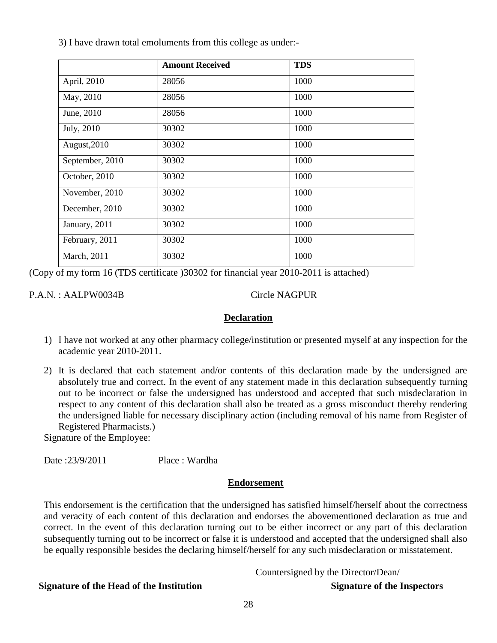3) I have drawn total emoluments from this college as under:-

|                 | <b>Amount Received</b> | <b>TDS</b> |
|-----------------|------------------------|------------|
| April, 2010     | 28056                  | 1000       |
| May, 2010       | 28056                  | 1000       |
| June, 2010      | 28056                  | 1000       |
| July, 2010      | 30302                  | 1000       |
| August, 2010    | 30302                  | 1000       |
| September, 2010 | 30302                  | 1000       |
| October, 2010   | 30302                  | 1000       |
| November, 2010  | 30302                  | 1000       |
| December, 2010  | 30302                  | 1000       |
| January, 2011   | 30302                  | 1000       |
| February, 2011  | 30302                  | 1000       |
| March, 2011     | 30302                  | 1000       |

(Copy of my form 16 (TDS certificate )30302 for financial year 2010-2011 is attached)

P.A.N. : AALPW0034B Circle NAGPUR

#### **Declaration**

- 1) I have not worked at any other pharmacy college/institution or presented myself at any inspection for the academic year 2010-2011.
- 2) It is declared that each statement and/or contents of this declaration made by the undersigned are absolutely true and correct. In the event of any statement made in this declaration subsequently turning out to be incorrect or false the undersigned has understood and accepted that such misdeclaration in respect to any content of this declaration shall also be treated as a gross misconduct thereby rendering the undersigned liable for necessary disciplinary action (including removal of his name from Register of Registered Pharmacists.)

Signature of the Employee:

Date : 23/9/2011 Place : Wardha

#### **Endorsement**

This endorsement is the certification that the undersigned has satisfied himself/herself about the correctness and veracity of each content of this declaration and endorses the abovementioned declaration as true and correct. In the event of this declaration turning out to be either incorrect or any part of this declaration subsequently turning out to be incorrect or false it is understood and accepted that the undersigned shall also be equally responsible besides the declaring himself/herself for any such misdeclaration or misstatement.

Countersigned by the Director/Dean/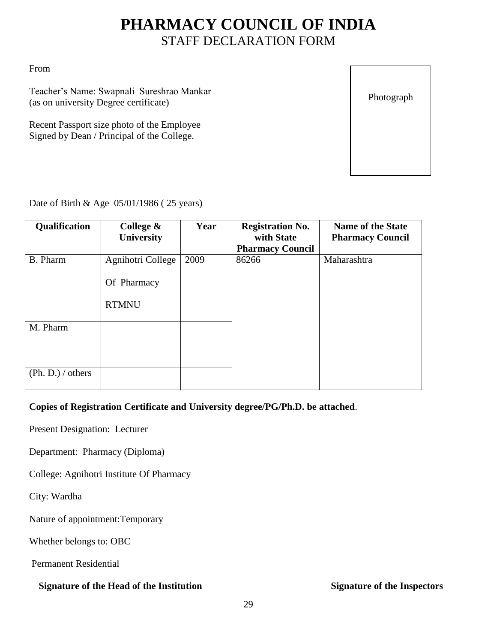# **PHARMACY COUNCIL OF INDIA** STAFF DECLARATION FORM

From

Teacher's Name: Swapnali Sureshrao Mankar (as on university Degree certificate)

Recent Passport size photo of the Employee Signed by Dean / Principal of the College.

Photograph

### Date of Birth & Age 05/01/1986 ( 25 years)

| Qualification                 | College $\&$<br>University                       | Year | <b>Registration No.</b><br>with State<br><b>Pharmacy Council</b> | <b>Name of the State</b><br><b>Pharmacy Council</b> |
|-------------------------------|--------------------------------------------------|------|------------------------------------------------------------------|-----------------------------------------------------|
| <b>B.</b> Pharm               | Agnihotri College<br>Of Pharmacy<br><b>RTMNU</b> | 2009 | 86266                                                            | Maharashtra                                         |
| M. Pharm<br>(Ph. D.) / others |                                                  |      |                                                                  |                                                     |

### **Copies of Registration Certificate and University degree/PG/Ph.D. be attached**.

Present Designation: Lecturer

Department: Pharmacy (Diploma)

College: Agnihotri Institute Of Pharmacy

City: Wardha

Nature of appointment:Temporary

Whether belongs to: OBC

Permanent Residential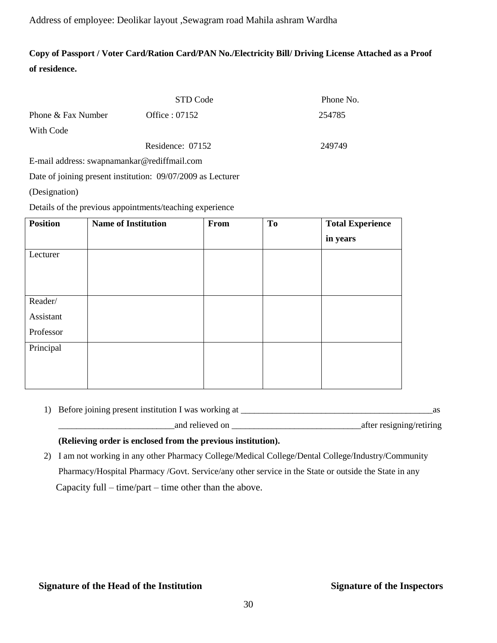#### Address of employee: Deolikar layout ,Sewagram road Mahila ashram Wardha

### **Copy of Passport / Voter Card/Ration Card/PAN No./Electricity Bill/ Driving License Attached as a Proof of residence.**

|                                               | STD Code         | Phone No. |
|-----------------------------------------------|------------------|-----------|
| Phone & Fax Number                            | Office : $07152$ | 254785    |
| With Code                                     |                  |           |
|                                               | Residence: 07152 | 249749    |
| $F$ mail address: swappamankar@radiffmail.com |                  |           |

E-mail address: swapnamankar@rediffmail.com

Date of joining present institution: 09/07/2009 as Lecturer

(Designation)

Details of the previous appointments/teaching experience

| <b>Position</b> | <b>Name of Institution</b> | From | T <sub>o</sub> | <b>Total Experience</b> |
|-----------------|----------------------------|------|----------------|-------------------------|
|                 |                            |      |                | in years                |
| Lecturer        |                            |      |                |                         |
|                 |                            |      |                |                         |
|                 |                            |      |                |                         |
| Reader/         |                            |      |                |                         |
| Assistant       |                            |      |                |                         |
| Professor       |                            |      |                |                         |
| Principal       |                            |      |                |                         |
|                 |                            |      |                |                         |
|                 |                            |      |                |                         |

| 1) Before joining present institution I was working at |  |
|--------------------------------------------------------|--|
|--------------------------------------------------------|--|

\_\_\_\_\_\_\_\_\_\_\_\_\_\_\_\_\_\_\_\_\_\_\_\_\_\_and relieved on \_\_\_\_\_\_\_\_\_\_\_\_\_\_\_\_\_\_\_\_\_\_\_\_\_\_\_\_\_after resigning/retiring

#### **(Relieving order is enclosed from the previous institution).**

2) I am not working in any other Pharmacy College/Medical College/Dental College/Industry/Community Pharmacy/Hospital Pharmacy /Govt. Service/any other service in the State or outside the State in any Capacity full – time/part – time other than the above.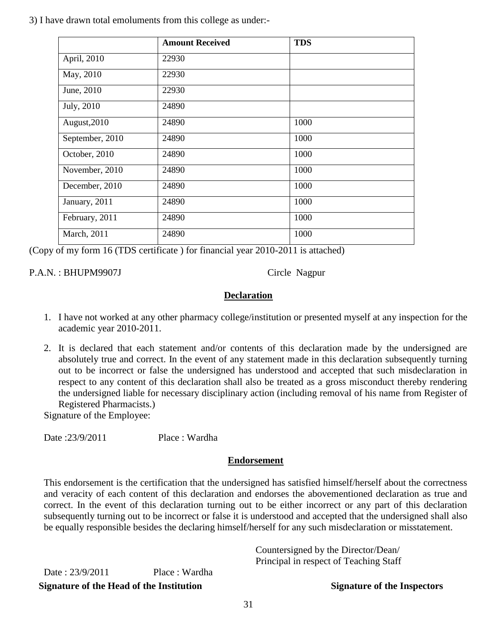3) I have drawn total emoluments from this college as under:-

|                 | <b>Amount Received</b> | <b>TDS</b> |
|-----------------|------------------------|------------|
| April, 2010     | 22930                  |            |
| May, 2010       | 22930                  |            |
| June, 2010      | 22930                  |            |
| July, 2010      | 24890                  |            |
| August, 2010    | 24890                  | 1000       |
| September, 2010 | 24890                  | 1000       |
| October, 2010   | 24890                  | 1000       |
| November, 2010  | 24890                  | 1000       |
| December, 2010  | 24890                  | 1000       |
| January, 2011   | 24890                  | 1000       |
| February, 2011  | 24890                  | 1000       |
| March, 2011     | 24890                  | 1000       |

(Copy of my form 16 (TDS certificate ) for financial year 2010-2011 is attached)

P.A.N.: BHUPM9907J Circle Nagpur

### **Declaration**

- 1. I have not worked at any other pharmacy college/institution or presented myself at any inspection for the academic year 2010-2011.
- 2. It is declared that each statement and/or contents of this declaration made by the undersigned are absolutely true and correct. In the event of any statement made in this declaration subsequently turning out to be incorrect or false the undersigned has understood and accepted that such misdeclaration in respect to any content of this declaration shall also be treated as a gross misconduct thereby rendering the undersigned liable for necessary disciplinary action (including removal of his name from Register of Registered Pharmacists.)

Signature of the Employee:

Date : 23/9/2011 Place : Wardha

### **Endorsement**

This endorsement is the certification that the undersigned has satisfied himself/herself about the correctness and veracity of each content of this declaration and endorses the abovementioned declaration as true and correct. In the event of this declaration turning out to be either incorrect or any part of this declaration subsequently turning out to be incorrect or false it is understood and accepted that the undersigned shall also be equally responsible besides the declaring himself/herself for any such misdeclaration or misstatement.

| Signature of the Head of the Institution |                | <b>Signature of the Inspectors</b>                                            |
|------------------------------------------|----------------|-------------------------------------------------------------------------------|
| Date: $23/9/2011$                        | Place : Wardha | Countersigned by the Director/Dean/<br>Principal in respect of Teaching Staff |